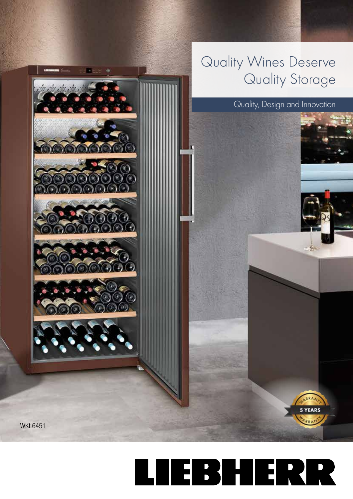

## TEBHERR  $\overline{\phantom{a}}$